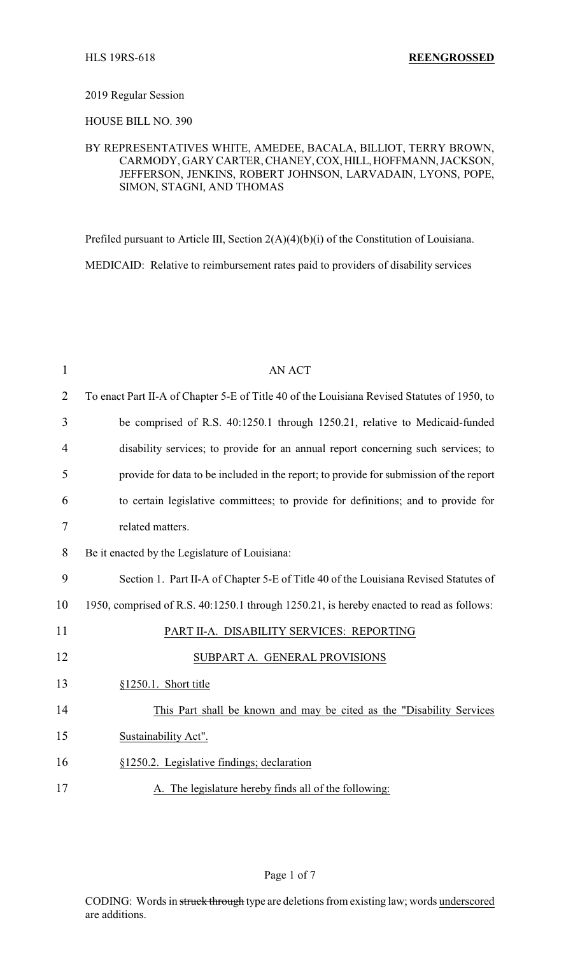## 2019 Regular Session

HOUSE BILL NO. 390

## BY REPRESENTATIVES WHITE, AMEDEE, BACALA, BILLIOT, TERRY BROWN, CARMODY, GARY CARTER,CHANEY,COX,HILL,HOFFMANN,JACKSON, JEFFERSON, JENKINS, ROBERT JOHNSON, LARVADAIN, LYONS, POPE, SIMON, STAGNI, AND THOMAS

Prefiled pursuant to Article III, Section 2(A)(4)(b)(i) of the Constitution of Louisiana. MEDICAID: Relative to reimbursement rates paid to providers of disability services

| $\mathbf{1}$   | <b>AN ACT</b>                                                                               |
|----------------|---------------------------------------------------------------------------------------------|
| $\overline{2}$ | To enact Part II-A of Chapter 5-E of Title 40 of the Louisiana Revised Statutes of 1950, to |
| 3              | be comprised of R.S. 40:1250.1 through 1250.21, relative to Medicaid-funded                 |
| $\overline{4}$ | disability services; to provide for an annual report concerning such services; to           |
| 5              | provide for data to be included in the report; to provide for submission of the report      |
| 6              | to certain legislative committees; to provide for definitions; and to provide for           |
| $\tau$         | related matters.                                                                            |
| 8              | Be it enacted by the Legislature of Louisiana:                                              |
| 9              | Section 1. Part II-A of Chapter 5-E of Title 40 of the Louisiana Revised Statutes of        |
| 10             | 1950, comprised of R.S. 40:1250.1 through 1250.21, is hereby enacted to read as follows:    |
| 11             | PART II-A. DISABILITY SERVICES: REPORTING                                                   |
| 12             | SUBPART A. GENERAL PROVISIONS                                                               |
| 13             | §1250.1. Short title                                                                        |
| 14             | This Part shall be known and may be cited as the "Disability Services"                      |
| 15             | Sustainability Act".                                                                        |
| 16             | §1250.2. Legislative findings; declaration                                                  |
| 17             | A. The legislature hereby finds all of the following:                                       |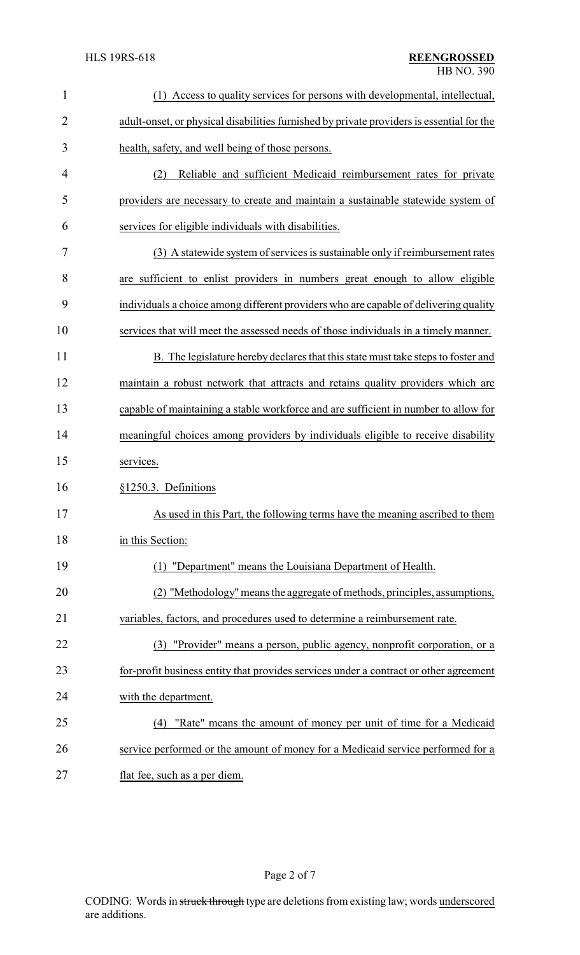| $\mathbf{1}$   | Access to quality services for persons with developmental, intellectual,<br>(1)           |
|----------------|-------------------------------------------------------------------------------------------|
| $\overline{2}$ | adult-onset, or physical disabilities furnished by private providers is essential for the |
| 3              | health, safety, and well being of those persons.                                          |
| 4              | Reliable and sufficient Medicaid reimbursement rates for private<br>(2)                   |
| 5              | providers are necessary to create and maintain a sustainable statewide system of          |
| 6              | services for eligible individuals with disabilities.                                      |
| 7              | (3) A statewide system of services is sustainable only if reimbursement rates             |
| 8              | are sufficient to enlist providers in numbers great enough to allow eligible              |
| 9              | individuals a choice among different providers who are capable of delivering quality      |
| 10             | services that will meet the assessed needs of those individuals in a timely manner.       |
| 11             | B. The legislature hereby declares that this state must take steps to foster and          |
| 12             | maintain a robust network that attracts and retains quality providers which are           |
| 13             | capable of maintaining a stable workforce and are sufficient in number to allow for       |
| 14             | meaningful choices among providers by individuals eligible to receive disability          |
| 15             | services.                                                                                 |
| 16             | §1250.3. Definitions                                                                      |
| 17             | As used in this Part, the following terms have the meaning ascribed to them               |
| 18             | in this Section:                                                                          |
| 19             | "Department" means the Louisiana Department of Health.<br>(1)                             |
| 20             | (2) "Methodology" means the aggregate of methods, principles, assumptions,                |
| 21             | variables, factors, and procedures used to determine a reimbursement rate.                |
| 22             | "Provider" means a person, public agency, nonprofit corporation, or a<br>(3)              |
| 23             | for-profit business entity that provides services under a contract or other agreement     |
| 24             | with the department.                                                                      |
| 25             | "Rate" means the amount of money per unit of time for a Medicaid<br>(4)                   |
| 26             | service performed or the amount of money for a Medicaid service performed for a           |
| 27             | flat fee, such as a per diem.                                                             |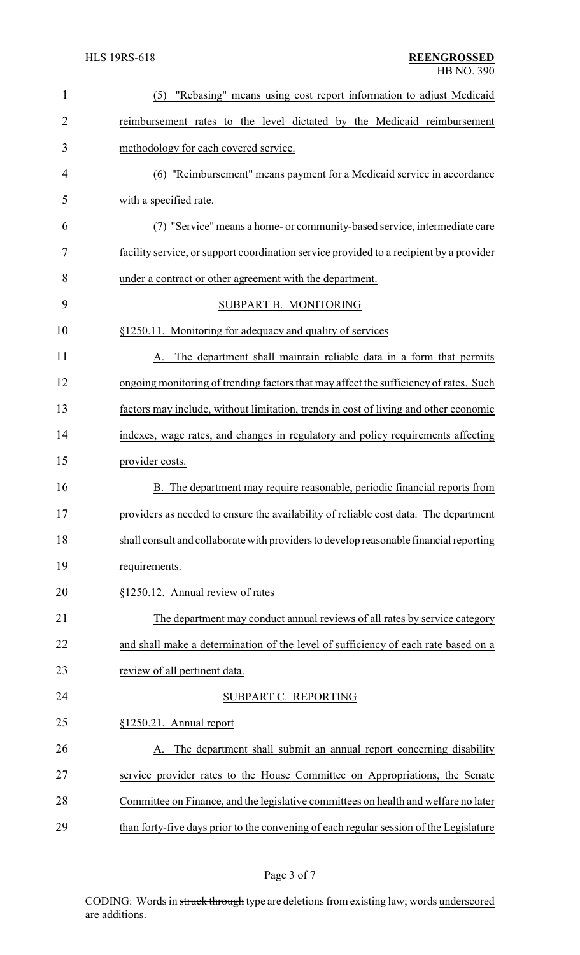| $\mathbf{1}$   | "Rebasing" means using cost report information to adjust Medicaid<br>(5)                |
|----------------|-----------------------------------------------------------------------------------------|
| $\overline{2}$ | reimbursement rates to the level dictated by the Medicaid reimbursement                 |
| 3              | methodology for each covered service.                                                   |
| 4              | (6) "Reimbursement" means payment for a Medicaid service in accordance                  |
| 5              | with a specified rate.                                                                  |
| 6              | "Service" means a home- or community-based service, intermediate care                   |
| 7              | facility service, or support coordination service provided to a recipient by a provider |
| 8              | under a contract or other agreement with the department.                                |
| 9              | SUBPART B. MONITORING                                                                   |
| 10             | §1250.11. Monitoring for adequacy and quality of services                               |
| 11             | The department shall maintain reliable data in a form that permits                      |
| 12             | ongoing monitoring of trending factors that may affect the sufficiency of rates. Such   |
| 13             | factors may include, without limitation, trends in cost of living and other economic    |
| 14             | indexes, wage rates, and changes in regulatory and policy requirements affecting        |
| 15             | provider costs.                                                                         |
| 16             | B. The department may require reasonable, periodic financial reports from               |
| 17             | providers as needed to ensure the availability of reliable cost data. The department    |
| 18             | shall consult and collaborate with providers to develop reasonable financial reporting  |
| 19             | requirements.                                                                           |
| 20             | §1250.12. Annual review of rates                                                        |
| 21             | The department may conduct annual reviews of all rates by service category              |
| 22             | and shall make a determination of the level of sufficiency of each rate based on a      |
| 23             | review of all pertinent data.                                                           |
| 24             | SUBPART C. REPORTING                                                                    |
| 25             | §1250.21. Annual report                                                                 |
| 26             | The department shall submit an annual report concerning disability                      |
| 27             | service provider rates to the House Committee on Appropriations, the Senate             |
| 28             | Committee on Finance, and the legislative committees on health and welfare no later     |
| 29             | than forty-five days prior to the convening of each regular session of the Legislature  |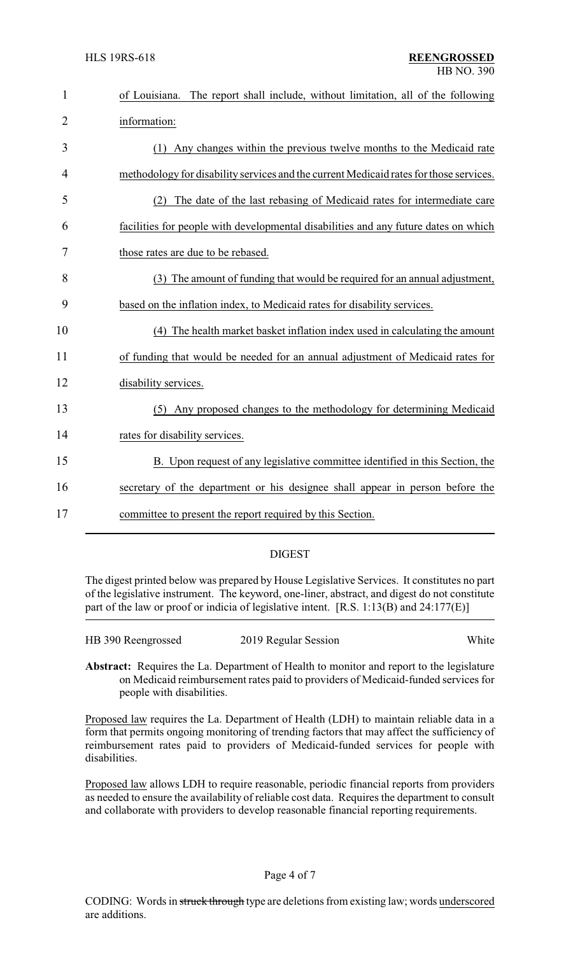| $\mathbf{1}$   | The report shall include, without limitation, all of the following<br>of Louisiana.    |
|----------------|----------------------------------------------------------------------------------------|
| $\overline{2}$ | information:                                                                           |
| 3              | (1) Any changes within the previous twelve months to the Medicaid rate                 |
| 4              | methodology for disability services and the current Medicaid rates for those services. |
| 5              | (2) The date of the last rebasing of Medicaid rates for intermediate care              |
| 6              | facilities for people with developmental disabilities and any future dates on which    |
| 7              | those rates are due to be rebased.                                                     |
| 8              | (3) The amount of funding that would be required for an annual adjustment,             |
| 9              | based on the inflation index, to Medicaid rates for disability services.               |
| 10             | (4) The health market basket inflation index used in calculating the amount            |
| 11             | of funding that would be needed for an annual adjustment of Medicaid rates for         |
| 12             | disability services.                                                                   |
| 13             | (5) Any proposed changes to the methodology for determining Medicaid                   |
| 14             | rates for disability services.                                                         |
| 15             | B. Upon request of any legislative committee identified in this Section, the           |
| 16             | secretary of the department or his designee shall appear in person before the          |
| 17             | committee to present the report required by this Section.                              |

## DIGEST

The digest printed below was prepared by House Legislative Services. It constitutes no part of the legislative instrument. The keyword, one-liner, abstract, and digest do not constitute part of the law or proof or indicia of legislative intent. [R.S. 1:13(B) and 24:177(E)]

| HB 390 Reengrossed | 2019 Regular Session | White |
|--------------------|----------------------|-------|
|                    |                      |       |

**Abstract:** Requires the La. Department of Health to monitor and report to the legislature on Medicaid reimbursement rates paid to providers of Medicaid-funded services for people with disabilities.

Proposed law requires the La. Department of Health (LDH) to maintain reliable data in a form that permits ongoing monitoring of trending factors that may affect the sufficiency of reimbursement rates paid to providers of Medicaid-funded services for people with disabilities.

Proposed law allows LDH to require reasonable, periodic financial reports from providers as needed to ensure the availability of reliable cost data. Requires the department to consult and collaborate with providers to develop reasonable financial reporting requirements.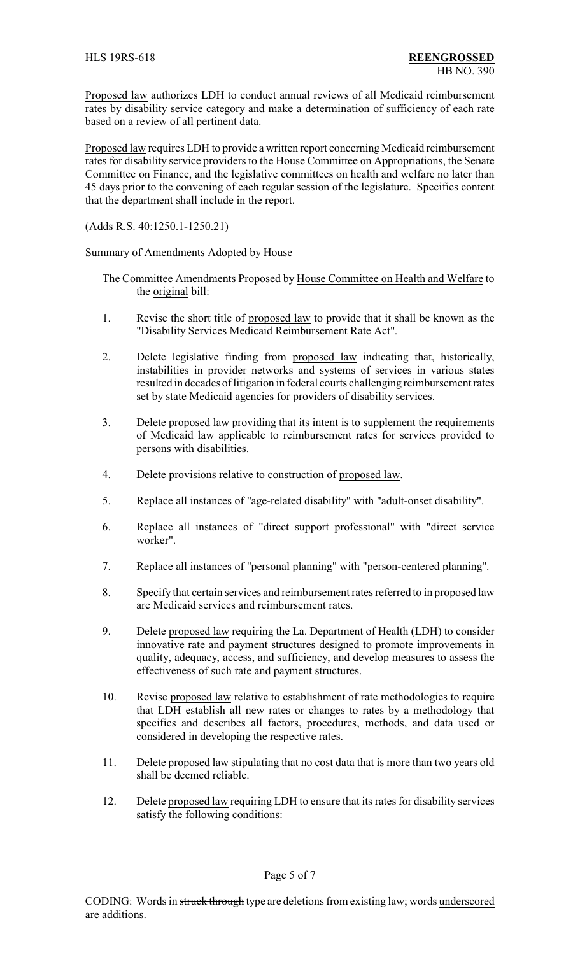Proposed law authorizes LDH to conduct annual reviews of all Medicaid reimbursement rates by disability service category and make a determination of sufficiency of each rate based on a review of all pertinent data.

Proposed law requires LDH to provide a written report concerning Medicaid reimbursement rates for disability service providers to the House Committee on Appropriations, the Senate Committee on Finance, and the legislative committees on health and welfare no later than 45 days prior to the convening of each regular session of the legislature. Specifies content that the department shall include in the report.

(Adds R.S. 40:1250.1-1250.21)

Summary of Amendments Adopted by House

- The Committee Amendments Proposed by House Committee on Health and Welfare to the original bill:
- 1. Revise the short title of proposed law to provide that it shall be known as the "Disability Services Medicaid Reimbursement Rate Act".
- 2. Delete legislative finding from proposed law indicating that, historically, instabilities in provider networks and systems of services in various states resulted in decades of litigation in federal courts challenging reimbursement rates set by state Medicaid agencies for providers of disability services.
- 3. Delete proposed law providing that its intent is to supplement the requirements of Medicaid law applicable to reimbursement rates for services provided to persons with disabilities.
- 4. Delete provisions relative to construction of proposed law.
- 5. Replace all instances of "age-related disability" with "adult-onset disability".
- 6. Replace all instances of "direct support professional" with "direct service worker".
- 7. Replace all instances of "personal planning" with "person-centered planning".
- 8. Specify that certain services and reimbursement rates referred to in proposed law are Medicaid services and reimbursement rates.
- 9. Delete proposed law requiring the La. Department of Health (LDH) to consider innovative rate and payment structures designed to promote improvements in quality, adequacy, access, and sufficiency, and develop measures to assess the effectiveness of such rate and payment structures.
- 10. Revise proposed law relative to establishment of rate methodologies to require that LDH establish all new rates or changes to rates by a methodology that specifies and describes all factors, procedures, methods, and data used or considered in developing the respective rates.
- 11. Delete proposed law stipulating that no cost data that is more than two years old shall be deemed reliable.
- 12. Delete proposed law requiring LDH to ensure that its rates for disability services satisfy the following conditions: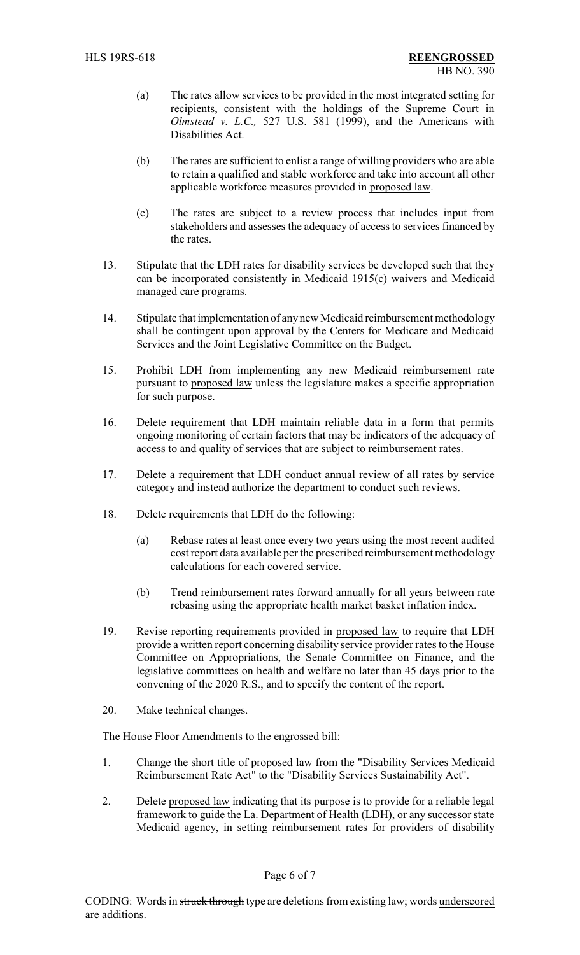- (a) The rates allow services to be provided in the most integrated setting for recipients, consistent with the holdings of the Supreme Court in *Olmstead v. L.C.,* 527 U.S. 581 (1999), and the Americans with Disabilities Act.
- (b) The rates are sufficient to enlist a range of willing providers who are able to retain a qualified and stable workforce and take into account all other applicable workforce measures provided in proposed law.
- (c) The rates are subject to a review process that includes input from stakeholders and assesses the adequacy of access to services financed by the rates.
- 13. Stipulate that the LDH rates for disability services be developed such that they can be incorporated consistently in Medicaid 1915(c) waivers and Medicaid managed care programs.
- 14. Stipulate that implementation of any new Medicaid reimbursement methodology shall be contingent upon approval by the Centers for Medicare and Medicaid Services and the Joint Legislative Committee on the Budget.
- 15. Prohibit LDH from implementing any new Medicaid reimbursement rate pursuant to proposed law unless the legislature makes a specific appropriation for such purpose.
- 16. Delete requirement that LDH maintain reliable data in a form that permits ongoing monitoring of certain factors that may be indicators of the adequacy of access to and quality of services that are subject to reimbursement rates.
- 17. Delete a requirement that LDH conduct annual review of all rates by service category and instead authorize the department to conduct such reviews.
- 18. Delete requirements that LDH do the following:
	- (a) Rebase rates at least once every two years using the most recent audited cost report data available per the prescribed reimbursement methodology calculations for each covered service.
	- (b) Trend reimbursement rates forward annually for all years between rate rebasing using the appropriate health market basket inflation index.
- 19. Revise reporting requirements provided in proposed law to require that LDH provide a written report concerning disability service provider rates to the House Committee on Appropriations, the Senate Committee on Finance, and the legislative committees on health and welfare no later than 45 days prior to the convening of the 2020 R.S., and to specify the content of the report.
- 20. Make technical changes.

## The House Floor Amendments to the engrossed bill:

- 1. Change the short title of proposed law from the "Disability Services Medicaid Reimbursement Rate Act" to the "Disability Services Sustainability Act".
- 2. Delete proposed law indicating that its purpose is to provide for a reliable legal framework to guide the La. Department of Health (LDH), or any successor state Medicaid agency, in setting reimbursement rates for providers of disability